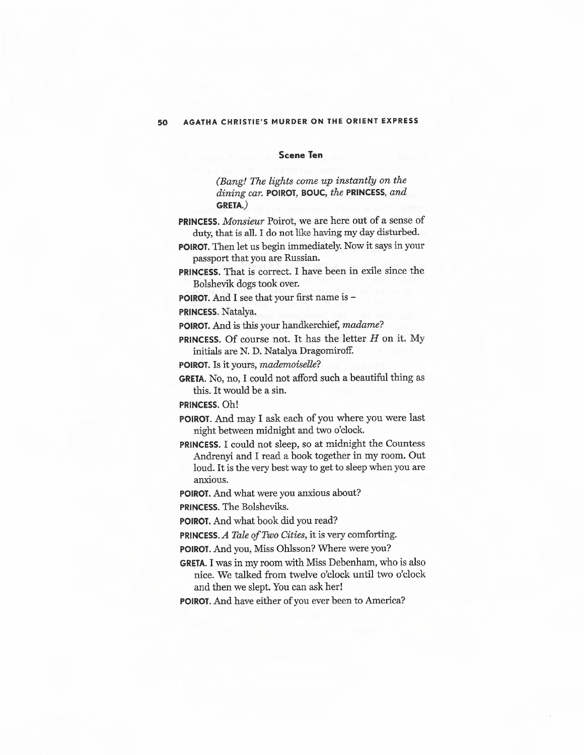## **Scene Ten**

*(Bang! 'The lights come up instantly on the dining car.* **POIROT, BOUC,** *the* **PRINCESS,** *and*  **GRETA.)** 

**PRINCESS.** *Monsieur* Poirot, we are here out of a sense of duty, that is all. I do not like having my day disturbed.

**POIROT.** Then let us begin immediately. Now it says in your passport that you are Russian.

**PRINCESS.** That is correct. I have been in exile since the Bolshevik dogs took over.

**POIROT.** And I see that your first name is -

**PRINCESS.** Natalya.

**POIROT.** And is this your handkerchief, *madame?* 

**PRINCESS.** Of course not. It has the letter *H* on it. My initials are N. D. Natalya Dragomiroff.

**POIROT.** Is it yours, *mademoiselle?* 

**GRETA.** No, no, I could not afford such a beautiful thing as this. It would be a sin.

**PRINCESS.** Oh!

**POIROT.** And may I ask each of you where you were last night between midnight and two o'clock.

**PRINCESS.** I could not sleep, so at midnight the Countess Andrenyi and I read a book together in my room. Out loud. It is the very best way to get to sleep when you are anxious.

**POIROT.** And what were you anxious about?

**PRINCESS.** The Bolsheviks.

**POIROT.** And what book did you read?

**PRINCESS.A** *Tale of Two Cities,* it is very comforting.

**POIROT.** And you, Miss Ohlsson? Where were you?

**GRETA.** I was in my room with Miss Debenham, who is also nice. We talked from twelve o'clock until two o'clock and then we slept. You can ask her!

**POIROT.** And have either of you ever been to America?